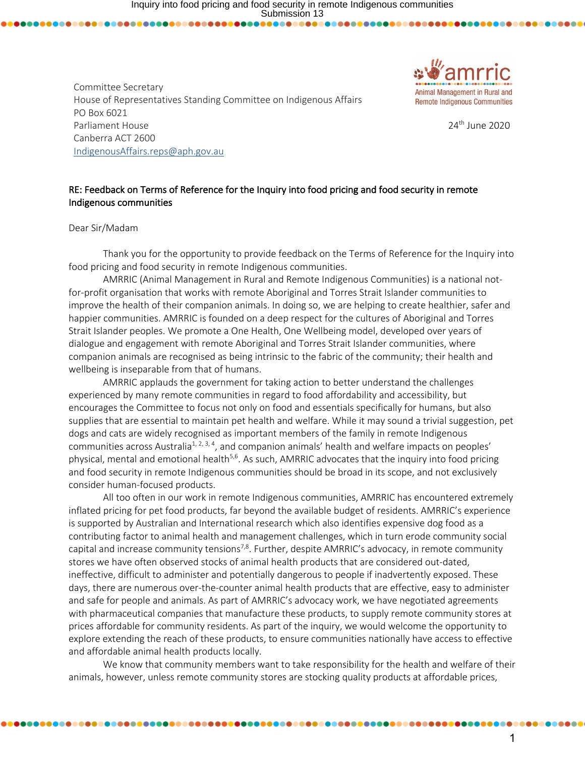Committee Secretary House of Representatives Standing Committee on Indigenous Affairs PO Box 6021 Parliament House Canberra ACT 2600 IndigenousAffairs.reps@aph.gov.au



24th June 2020

## RE: Feedback on Terms of Reference for the Inquiry into food pricing and food security in remote Indigenous communities

Dear Sir/Madam

Thank you for the opportunity to provide feedback on the Terms of Reference for the Inquiry into food pricing and food security in remote Indigenous communities.

AMRRIC (Animal Management in Rural and Remote Indigenous Communities) is a national notfor-profit organisation that works with remote Aboriginal and Torres Strait Islander communities to improve the health of their companion animals. In doing so, we are helping to create healthier, safer and happier communities. AMRRIC is founded on a deep respect for the cultures of Aboriginal and Torres Strait Islander peoples. We promote a One Health, One Wellbeing model, developed over years of dialogue and engagement with remote Aboriginal and Torres Strait Islander communities, where companion animals are recognised as being intrinsic to the fabric of the community; their health and wellbeing is inseparable from that of humans.

AMRRIC applauds the government for taking action to better understand the challenges experienced by many remote communities in regard to food affordability and accessibility, but encourages the Committee to focus not only on food and essentials specifically for humans, but also supplies that are essential to maintain pet health and welfare. While it may sound a trivial suggestion, pet dogs and cats are widely recognised as important members of the family in remote Indigenous communities across Australia<sup>1, 2, 3, 4</sup>, and companion animals' health and welfare impacts on peoples' physical, mental and emotional health<sup>5,6</sup>. As such, AMRRIC advocates that the inquiry into food pricing and food security in remote Indigenous communities should be broad in its scope, and not exclusively consider human-focused products.

All too often in our work in remote Indigenous communities, AMRRIC has encountered extremely inflated pricing for pet food products, far beyond the available budget of residents. AMRRIC's experience is supported by Australian and International research which also identifies expensive dog food as a contributing factor to animal health and management challenges, which in turn erode community social capital and increase community tensions<sup>7,8</sup>. Further, despite AMRRIC's advocacy, in remote community stores we have often observed stocks of animal health products that are considered out-dated, ineffective, difficult to administer and potentially dangerous to people if inadvertently exposed. These days, there are numerous over-the-counter animal health products that are effective, easy to administer and safe for people and animals. As part of AMRRIC's advocacy work, we have negotiated agreements with pharmaceutical companies that manufacture these products, to supply remote community stores at prices affordable for community residents. As part of the inquiry, we would welcome the opportunity to explore extending the reach of these products, to ensure communities nationally have access to effective and affordable animal health products locally.

We know that community members want to take responsibility for the health and welfare of their animals, however, unless remote community stores are stocking quality products at affordable prices,

........................